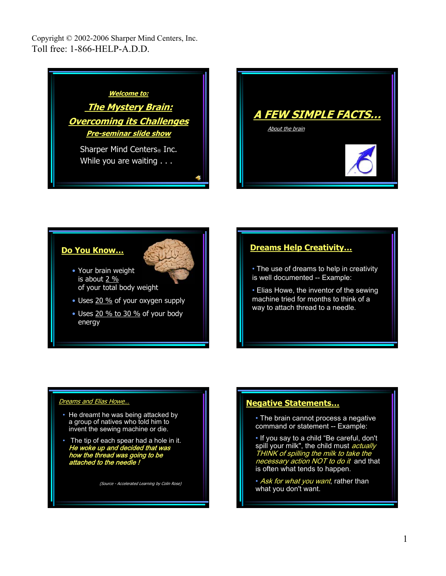



## **Do You Know…**



- Your brain weight is about 2 % of your total body weight
- Uses 20 % of your oxygen supply
- Uses 20 % to 30 % of your body energy

## **Dreams Help Creativity…**

• The use of dreams to help in creativity is well documented -- Example:

• Elias Howe, the inventor of the sewing machine tried for months to think of a way to attach thread to a needle.

#### Dreams and Elias Howe…

- He dreamt he was being attacked by a group of natives who told him to invent the sewing machine or die.
- The tip of each spear had a hole in it. He woke up and decided that was how the thread was going to be attached to the needle !

(Source - Accelerated Learning by Colin Rose)

### **Negative Statements…**

• The brain cannot process a negative command or statement -- Example:

• If you say to a child "Be careful, don't spill your milk", the child must actually THINK of spilling the milk to take the necessary action NOT to do it and that is often what tends to happen.

• Ask for what you want, rather than what you don't want.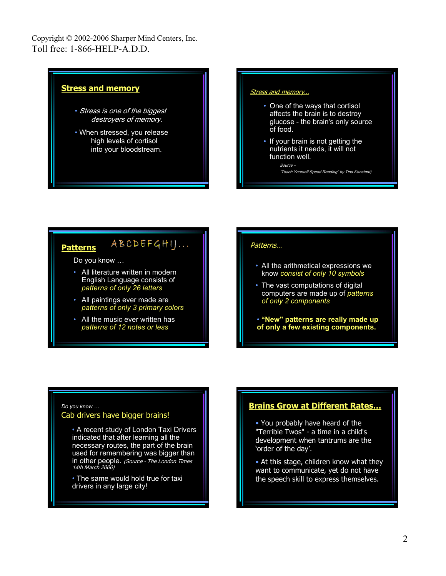

#### ABCDEFGHIJ... **Patterns**

Do you know …

- All literature written in modern English Language consists of *patterns of only 26 letters*
- All paintings ever made are *patterns of only 3 primary colors*
- All the music ever written has *patterns of 12 notes or less*

### Patterns…

- All the arithmetical expressions we know *consist of only 10 symbols*
- The vast computations of digital computers are made up of *patterns of only 2 components*
- **"New" patterns are really made up of only a few existing components.**

### *Do you know …* Cab drivers have bigger brains!

• A recent study of London Taxi Drivers indicated that after learning all the necessary routes, the part of the brain used for remembering was bigger than in other people. (Source - The London Times 14th March 2000)

• The same would hold true for taxi drivers in any large city!

## **Brains Grow at Different Rates…**

• You probably have heard of the "Terrible Twos" - a time in a child's development when tantrums are the 'order of the day'.

• At this stage, children know what they want to communicate, yet do not have the speech skill to express themselves.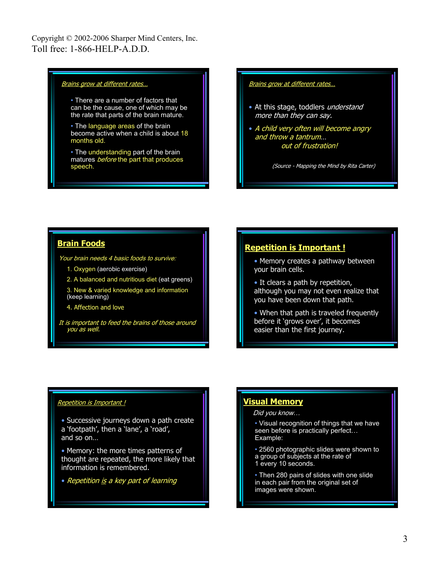#### Brains grow at different rates...

• There are a number of factors that can be the cause, one of which may be the rate that parts of the brain mature.

• The language areas of the brain become active when a child is about 18 months old.

• The understanding part of the brain matures **before** the part that produces speech.

#### Brains grow at different rates...

- At this stage, toddlers understand more than they can say.
- A child very often will become angry and throw a tantrum… out of frustration!

(Source - Mapping the Mind by Rita Carter)

### **Brain Foods**

Your brain needs 4 basic foods to survive:

- 1. Oxygen (aerobic exercise)
- 2. A balanced and nutritious diet (eat greens)
- 3. New & varied knowledge and information (keep learning)
- 4. Affection and love

It is important to feed the brains of those around you as well.

### **Repetition is Important !**

• Memory creates a pathway between your brain cells.

- It clears a path by repetition, although you may not even realize that you have been down that path.
- When that path is traveled frequently before it 'grows over', it becomes easier than the first journey.

#### Repetition is Important !

- Successive journeys down a path create a 'footpath', then a 'lane', a 'road', and so on…
- Memory: the more times patterns of thought are repeated, the more likely that information is remembered.
- Repetition is a key part of learning

### **Visual Memory**

#### Did you know…

- Visual recognition of things that we have seen before is practically perfect… Example:
- 2560 photographic slides were shown to a group of subjects at the rate of 1 every 10 seconds.
- Then 280 pairs of slides with one slide in each pair from the original set of images were shown.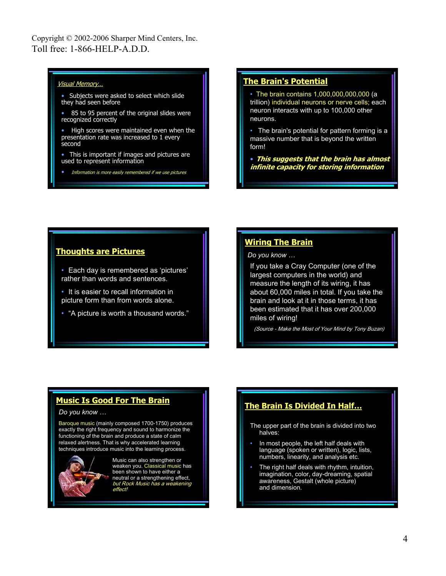#### Visual Memory…

- Subjects were asked to select which slide they had seen before
- 85 to 95 percent of the original slides were recognized correctly
- High scores were maintained even when the presentation rate was increased to 1 every second
- This is important if images and pictures are used to represent information
- Information is more easily remembered if we use pictures

### **The Brain's Potential**

• The brain contains 1,000,000,000,000 (a trillion) individual neurons or nerve cells; each neuron interacts with up to 100,000 other neurons.

• The brain's potential for pattern forming is a massive number that is beyond the written form!

• **This suggests that the brain has almost infinite capacity for storing information**

### **Thoughts are Pictures**

- Each day is remembered as 'pictures' rather than words and sentences.
- It is easier to recall information in picture form than from words alone.
- "A picture is worth a thousand words."

### **Wiring The Brain**

*Do you know …*

If you take a Cray Computer (one of the largest computers in the world) and measure the length of its wiring, it has about 60,000 miles in total. If you take the brain and look at it in those terms, it has been estimated that it has over 200,000 miles of wiring!

(Source - Make the Most of Your Mind by Tony Buzan)

## **Music Is Good For The Brain**

#### *Do you know …*

Baroque music (mainly composed 1700-1750) produces exactly the right frequency and sound to harmonize the functioning of the brain and produce a state of calm relaxed alertness. That is why accelerated learning techniques introduce music into the learning process.



Music can also strengthen or weaken you. Classical music has been shown to have either a neutral or a strengthening effect, but Rock Music has a weakening effect!

## **The Brain Is Divided In Half…**

The upper part of the brain is divided into two halves:

- In most people, the left half deals with language (spoken or written), logic, lists, numbers, linearity, and analysis etc.
- The right half deals with rhythm, intuition, imagination, color, day-dreaming, spatial awareness, Gestalt (whole picture) and dimension.